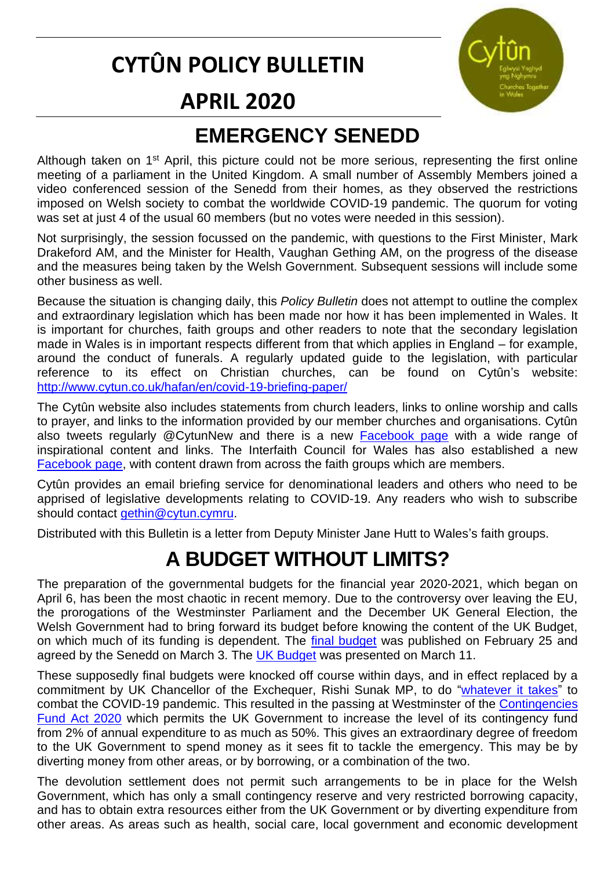## **CYTÛN POLICY BULLETIN**



#### **APRIL 2020**

## **EMERGENCY SENEDD**

Although taken on 1<sup>st</sup> April, this picture could not be more serious, representing the first online meeting of a parliament in the United Kingdom. A small number of Assembly Members joined a video conferenced session of the Senedd from their homes, as they observed the restrictions imposed on Welsh society to combat the worldwide COVID-19 pandemic. The quorum for voting was set at just 4 of the usual 60 members (but no votes were needed in this session).

Not surprisingly, the session focussed on the pandemic, with questions to the First Minister, Mark Drakeford AM, and the Minister for Health, Vaughan Gething AM, on the progress of the disease and the measures being taken by the Welsh Government. Subsequent sessions will include some other business as well.

Because the situation is changing daily, this *Policy Bulletin* does not attempt to outline the complex and extraordinary legislation which has been made nor how it has been implemented in Wales. It is important for churches, faith groups and other readers to note that the secondary legislation made in Wales is in important respects different from that which applies in England – for example, around the conduct of funerals. A regularly updated guide to the legislation, with particular reference to its effect on Christian churches, can be found on Cytûn's website: <http://www.cytun.co.uk/hafan/en/covid-19-briefing-paper/>

The Cytûn website also includes statements from church leaders, links to online worship and calls to prayer, and links to the information provided by our member churches and organisations. Cytûn also tweets regularly @CytunNew and there is a new [Facebook page](https://www.facebook.com/CytunNew/) with a wide range of inspirational content and links. The Interfaith Council for Wales has also established a new [Facebook page,](https://www.facebook.com/interfaithcouncilforwales/) with content drawn from across the faith groups which are members.

Cytûn provides an email briefing service for denominational leaders and others who need to be apprised of legislative developments relating to COVID-19. Any readers who wish to subscribe should contact [gethin@cytun.cymru.](mailto:gethin@cytun.cymru)

Distributed with this Bulletin is a letter from Deputy Minister Jane Hutt to Wales's faith groups.

## **A BUDGET WITHOUT LIMITS?**

The preparation of the governmental budgets for the financial year 2020-2021, which began on April 6, has been the most chaotic in recent memory. Due to the controversy over leaving the EU, the prorogations of the Westminster Parliament and the December UK General Election, the Welsh Government had to bring forward its budget before knowing the content of the UK Budget, on which much of its funding is dependent. The [final budget](https://seneddresearch.blog/2020/02/28/explore-the-welsh-governments-final-budget-2020-21/) was published on February 25 and agreed by the Senedd on March 3. The [UK Budget](https://www.gov.uk/government/publications/budget-2020-documents/budget-2020) was presented on March 11.

These supposedly final budgets were knocked off course within days, and in effect replaced by a commitment by UK Chancellor of the Exchequer, Rishi Sunak MP, to do ["whatever it takes"](https://www.gov.uk/government/speeches/chancellor-of-the-exchequer-rishi-sunak-on-covid19-response) to combat the COVID-19 pandemic. This resulted in the passing at Westminster of the Contingencies [Fund Act 2020](https://services.parliament.uk/bills/2019-21/contingenciesfund.html) which permits the UK Government to increase the level of its contingency fund from 2% of annual expenditure to as much as 50%. This gives an extraordinary degree of freedom to the UK Government to spend money as it sees fit to tackle the emergency. This may be by diverting money from other areas, or by borrowing, or a combination of the two.

The devolution settlement does not permit such arrangements to be in place for the Welsh Government, which has only a small contingency reserve and very restricted borrowing capacity, and has to obtain extra resources either from the UK Government or by diverting expenditure from other areas. As areas such as health, social care, local government and economic development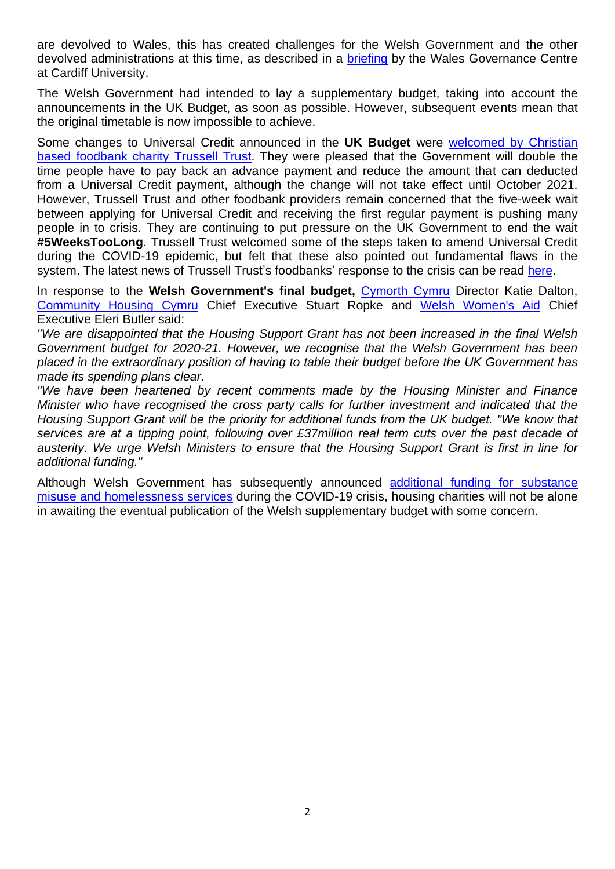are devolved to Wales, this has created challenges for the Welsh Government and the other devolved administrations at this time, as described in a [briefing](https://www.cardiff.ac.uk/news/view/2146409-funding-for-wales-falls-short-of-what-may-be-required-to-deal-with-coronavirus-response,-academics-conclude) by the Wales Governance Centre at Cardiff University.

The Welsh Government had intended to lay a supplementary budget, taking into account the announcements in the UK Budget, as soon as possible. However, subsequent events mean that the original timetable is now impossible to achieve.

Some changes to Universal Credit announced in the **UK Budget** were [welcomed by Christian](https://www.trusselltrust.org/2020/03/11/budget-2020/?utm_source=Trussell+Trust+Campaigning&utm_campaign=14fcf67aa5-EMAIL_CAMPAIGN_2020_03_11_11_20&utm_medium=email&utm_term=0_a702e2ba99-14fcf67aa5-430639697&mc_cid=14fcf67aa5&mc_eid=4ee77fa457)  [based foodbank charity](https://www.trusselltrust.org/2020/03/11/budget-2020/?utm_source=Trussell+Trust+Campaigning&utm_campaign=14fcf67aa5-EMAIL_CAMPAIGN_2020_03_11_11_20&utm_medium=email&utm_term=0_a702e2ba99-14fcf67aa5-430639697&mc_cid=14fcf67aa5&mc_eid=4ee77fa457) Trussell Trust. They were pleased that the Government will double the time people have to pay back an advance payment and reduce the amount that can deducted from a Universal Credit payment, although the change will not take effect until October 2021. However, Trussell Trust and other foodbank providers remain concerned that the five-week wait between applying for Universal Credit and receiving the first regular payment is pushing many people in to crisis. They are continuing to put pressure on the UK Government to end the wait **#5WeeksTooLong**. Trussell Trust welcomed some of the steps taken to amend Universal Credit during the COVID-19 epidemic, but felt that these also pointed out fundamental flaws in the system. The latest news of Trussell Trust's foodbanks' response to the crisis can be read [here.](https://www.trusselltrust.org/news-and-blog/)

In response to the **Welsh Government's final budget,** [Cymorth Cymru](https://www.cymorthcymru.org.uk/en/) Director Katie Dalton, [Community Housing Cymru](https://chcymru.org.uk/) Chief Executive Stuart Ropke and Welsh [Women's Aid](https://www.welshwomensaid.org.uk/) Chief Executive Eleri Butler said:

*"We are disappointed that the Housing Support Grant has not been increased in the final Welsh Government budget for 2020-21. However, we recognise that the Welsh Government has been placed in the extraordinary position of having to table their budget before the UK Government has made its spending plans clear.*

*"We have been heartened by recent comments made by the Housing Minister and Finance Minister who have recognised the cross party calls for further investment and indicated that the Housing Support Grant will be the priority for additional funds from the UK budget. "We know that services are at a tipping point, following over £37million real term cuts over the past decade of austerity. We urge Welsh Ministers to ensure that the Housing Support Grant is first in line for additional funding."*

Although Welsh Government has subsequently announced [additional funding for substance](https://gov.wales/coronavirus-covid-19-guidance-for-substance-misuse-and-homelessness-services-html)  [misuse and homelessness services](https://gov.wales/coronavirus-covid-19-guidance-for-substance-misuse-and-homelessness-services-html) during the COVID-19 crisis, housing charities will not be alone in awaiting the eventual publication of the Welsh supplementary budget with some concern.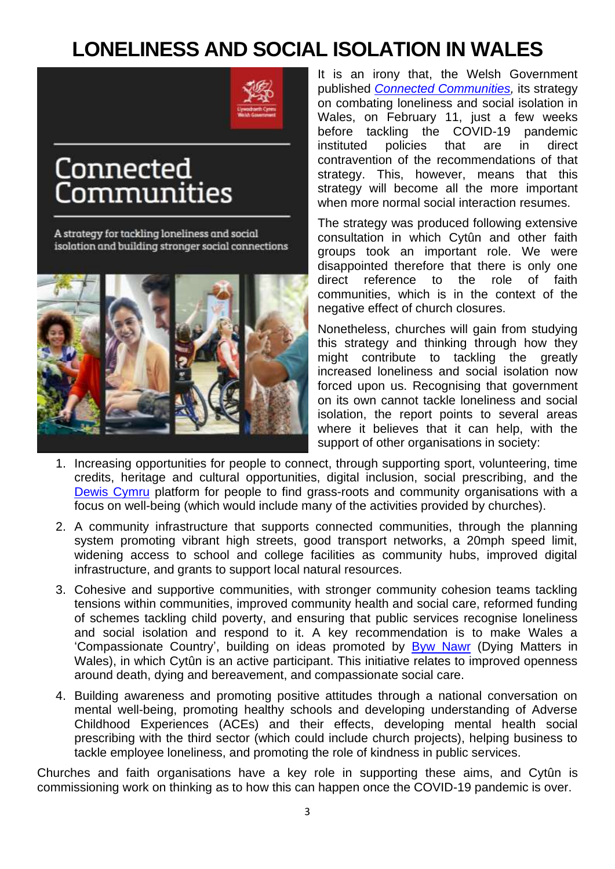## **LONELINESS AND SOCIAL ISOLATION IN WALES**



# Connected Communities

A strategy for tackling loneliness and social isolation and building stronger social connections



It is an irony that, the Welsh Government published *[Connected Communities,](https://gov.wales/loneliness-and-social-isolation-connected-communities?_ga=2.101532297.9607840.1586157792-1155329685.1576169152)* its strategy on combating loneliness and social isolation in Wales, on February 11, just a few weeks before tackling the COVID-19 pandemic instituted policies that are in direct contravention of the recommendations of that strategy. This, however, means that this strategy will become all the more important when more normal social interaction resumes.

The strategy was produced following extensive consultation in which Cytûn and other faith groups took an important role. We were disappointed therefore that there is only one direct reference to the role of faith communities, which is in the context of the negative effect of church closures.

Nonetheless, churches will gain from studying this strategy and thinking through how they might contribute to tackling the greatly increased loneliness and social isolation now forced upon us. Recognising that government on its own cannot tackle loneliness and social isolation, the report points to several areas where it believes that it can help, with the support of other organisations in society:

- 1. Increasing opportunities for people to connect, through supporting sport, volunteering, time credits, heritage and cultural opportunities, digital inclusion, social prescribing, and the [Dewis Cymru](https://www.dewis.wales/) platform for people to find grass-roots and community organisations with a focus on well-being (which would include many of the activities provided by churches).
- 2. A community infrastructure that supports connected communities, through the planning system promoting vibrant high streets, good transport networks, a 20mph speed limit, widening access to school and college facilities as community hubs, improved digital infrastructure, and grants to support local natural resources.
- 3. Cohesive and supportive communities, with stronger community cohesion teams tackling tensions within communities, improved community health and social care, reformed funding of schemes tackling child poverty, and ensuring that public services recognise loneliness and social isolation and respond to it. A key recommendation is to make Wales a 'Compassionate Country', building on ideas promoted by [Byw Nawr](https://www.dyingmatters.org/wales) (Dying Matters in Wales), in which Cytûn is an active participant. This initiative relates to improved openness around death, dying and bereavement, and compassionate social care.
- 4. Building awareness and promoting positive attitudes through a national conversation on mental well-being, promoting healthy schools and developing understanding of Adverse Childhood Experiences (ACEs) and their effects, developing mental health social prescribing with the third sector (which could include church projects), helping business to tackle employee loneliness, and promoting the role of kindness in public services.

Churches and faith organisations have a key role in supporting these aims, and Cytûn is commissioning work on thinking as to how this can happen once the COVID-19 pandemic is over.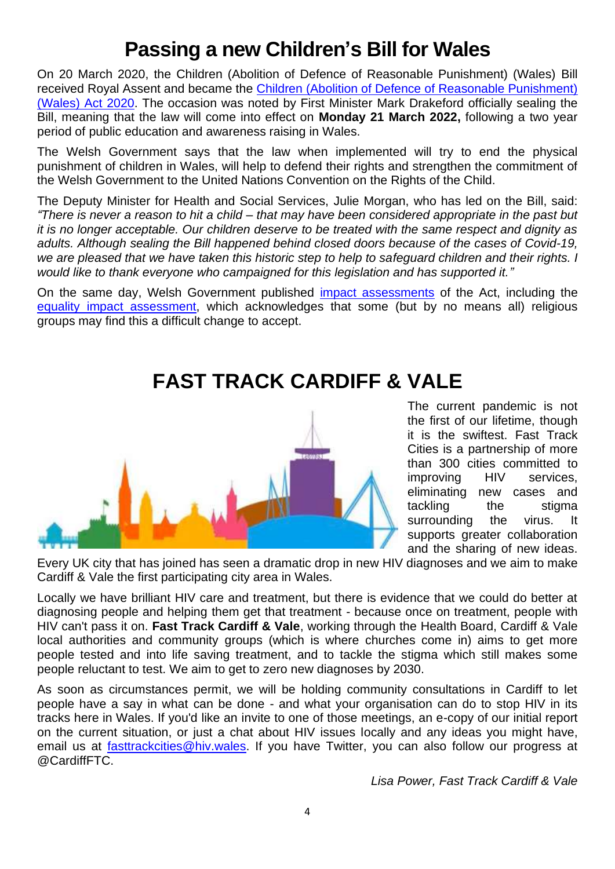## **Passing a new Children's Bill for Wales**

On 20 March 2020, the Children (Abolition of Defence of Reasonable Punishment) (Wales) Bill received Royal Assent and became the [Children \(Abolition of Defence of Reasonable Punishment\)](http://www.senedd.assembly.wales/mgIssueHistoryHome.aspx?IId=24674)  (Wales) [Act 2020.](http://www.senedd.assembly.wales/mgIssueHistoryHome.aspx?IId=24674) The occasion was noted by First Minister Mark Drakeford officially sealing the Bill, meaning that the law will come into effect on **Monday 21 March 2022,** following a two year period of public education and awareness raising in Wales.

The Welsh Government says that the law when implemented will try to end the physical punishment of children in Wales, will help to defend their rights and strengthen the commitment of the Welsh Government to the United Nations Convention on the Rights of the Child.

The Deputy Minister for Health and Social Services, Julie Morgan, who has led on the Bill, said: *"There is never a reason to hit a child – that may have been considered appropriate in the past but it is no longer acceptable. Our children deserve to be treated with the same respect and dignity as adults. Although sealing the Bill happened behind closed doors because of the cases of Covid-19, we are pleased that we have taken this historic step to help to safeguard children and their rights. I would like to thank everyone who campaigned for this legislation and has supported it."*

On the same day, Welsh Government published *impact assessments* of the Act, including the [equality impact assessment,](https://gov.wales/sites/default/files/publications/2020-03/equality-impact-assessment-annex-b_0.pdf) which acknowledges that some (but by no means all) religious groups may find this a difficult change to accept.

#### **FAST TRACK CARDIFF & VALE**



The current pandemic is not the first of our lifetime, though it is the swiftest. Fast Track Cities is a partnership of more than 300 cities committed to improving HIV services, eliminating new cases and tackling the stigma surrounding the virus. It supports greater collaboration and the sharing of new ideas.

Every UK city that has joined has seen a dramatic drop in new HIV diagnoses and we aim to make Cardiff & Vale the first participating city area in Wales.

Locally we have brilliant HIV care and treatment, but there is evidence that we could do better at diagnosing people and helping them get that treatment - because once on treatment, people with HIV can't pass it on. **Fast Track Cardiff & Vale**, working through the Health Board, Cardiff & Vale local authorities and community groups (which is where churches come in) aims to get more people tested and into life saving treatment, and to tackle the stigma which still makes some people reluctant to test. We aim to get to zero new diagnoses by 2030.

As soon as circumstances permit, we will be holding community consultations in Cardiff to let people have a say in what can be done - and what your organisation can do to stop HIV in its tracks here in Wales. If you'd like an invite to one of those meetings, an e-copy of our initial report on the current situation, or just a chat about HIV issues locally and any ideas you might have, email us at [fasttrackcities@hiv.wales.](mailto:fasttrackcities@hiv.wales) If you have Twitter, you can also follow our progress at @CardiffFTC.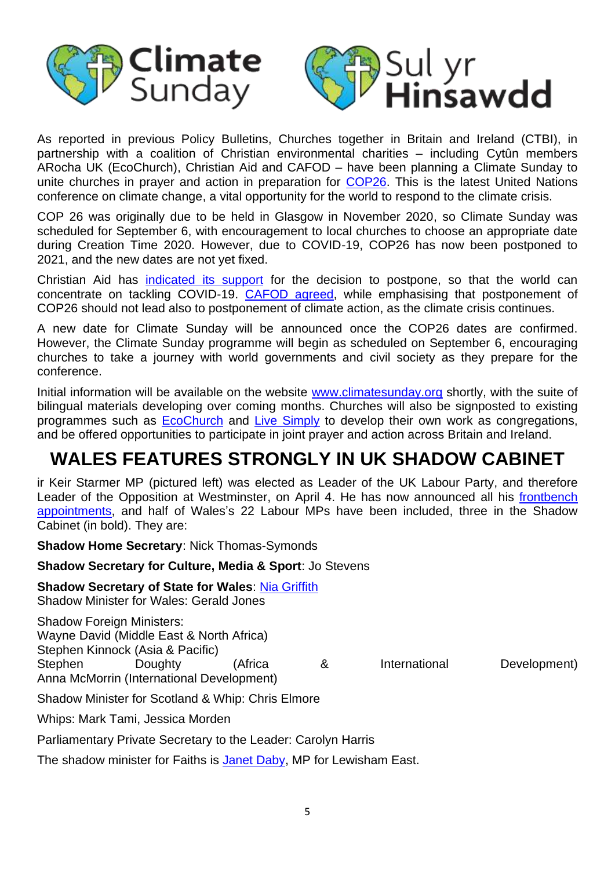



As reported in previous Policy Bulletins, Churches together in Britain and Ireland (CTBI), in partnership with a coalition of Christian environmental charities – including Cytûn members ARocha UK (EcoChurch), Christian Aid and CAFOD – have been planning a Climate Sunday to unite churches in prayer and action in preparation for [COP26.](https://eciu.net/analysis/briefings/international-perspectives/cop-26) This is the latest United Nations conference on climate change, a vital opportunity for the world to respond to the climate crisis.

COP 26 was originally due to be held in Glasgow in November 2020, so Climate Sunday was scheduled for September 6, with encouragement to local churches to choose an appropriate date during Creation Time 2020. However, due to COVID-19, COP26 has now been postponed to 2021, and the new dates are not yet fixed.

Christian Aid has [indicated its support](https://mediacentre.christianaid.org.uk/christian-aid-response-to-un-climate-talks-postponementnbsp/) for the decision to postpone, so that the world can concentrate on tackling COVID-19. [CAFOD agreed,](https://cafod.org.uk/News/Campaigning-news/COP26-postponed) while emphasising that postponement of COP26 should not lead also to postponement of climate action, as the climate crisis continues.

A new date for Climate Sunday will be announced once the COP26 dates are confirmed. However, the Climate Sunday programme will begin as scheduled on September 6, encouraging churches to take a journey with world governments and civil society as they prepare for the conference.

Initial information will be available on the website [www.climatesunday.org](http://www.climatesunday.org/) shortly, with the suite of bilingual materials developing over coming months. Churches will also be signposted to existing programmes such as **EcoChurch** and [Live Simply](https://cafod.org.uk/Campaign/Livesimply-award) to develop their own work as congregations, and be offered opportunities to participate in joint prayer and action across Britain and Ireland.

#### **WALES FEATURES STRONGLY IN UK SHADOW CABINET**

ir Keir Starmer MP (pictured left) was elected as Leader of the UK Labour Party, and therefore Leader of the Opposition at Westminster, on April 4. He has now announced all his [frontbench](https://labourlist.org/2020/04/shadow-ministers-appointed-as-starmer-completes-frontbench/)  [appointments,](https://labourlist.org/2020/04/shadow-ministers-appointed-as-starmer-completes-frontbench/) and half of Wales's 22 Labour MPs have been included, three in the Shadow Cabinet (in bold). They are:

**Shadow Home Secretary**: Nick Thomas-Symonds

**Shadow Secretary for Culture, Media & Sport**: Jo Stevens

**Shadow Secretary of State for Wales**: [Nia Griffith](https://members.parliament.uk/member/1541/contact) Shadow Minister for Wales: Gerald Jones

Shadow Foreign Ministers: Wayne David (Middle East & North Africa) Stephen Kinnock (Asia & Pacific) Stephen Doughty (Africa & International Development) Anna McMorrin (International Development)

Shadow Minister for Scotland & Whip: Chris Elmore

Whips: Mark Tami, Jessica Morden

Parliamentary Private Secretary to the Leader: Carolyn Harris

The shadow minister for Faiths is [Janet Daby,](https://members.parliament.uk/member/4698/contact) MP for Lewisham East.